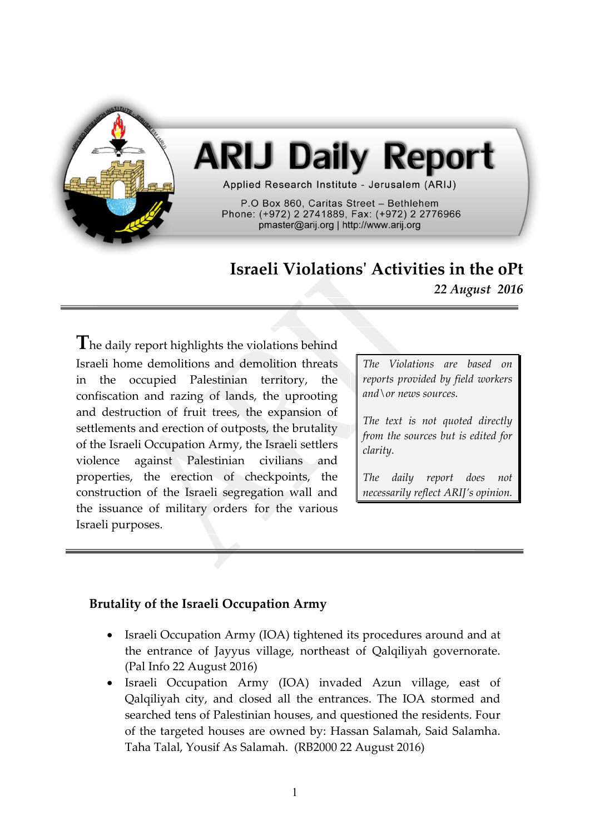

# **ARIJ Daily Report**

Applied Research Institute - Jerusalem (ARIJ)

P.O Box 860. Caritas Street - Bethlehem Phone: (+972) 2 2741889, Fax: (+972) 2 2776966 pmaster@arij.org | http://www.arij.org

## **Israeli Violations' Activities in the oPt** *22 August 2016*

**T**he daily report highlights the violations behind Israeli home demolitions and demolition threats in the occupied Palestinian territory, the confiscation and razing of lands, the uprooting and destruction of fruit trees, the expansion of settlements and erection of outposts, the brutality of the Israeli Occupation Army, the Israeli settlers violence against Palestinian civilians and properties, the erection of checkpoints, the construction of the Israeli segregation wall and the issuance of military orders for the various Israeli purposes.

*The Violations are based on reports provided by field workers and\or news sources.*

*The text is not quoted directly from the sources but is edited for clarity.*

*The daily report does not necessarily reflect ARIJ's opinion.*

### **Brutality of the Israeli Occupation Army**

- Israeli Occupation Army (IOA) tightened its procedures around and at the entrance of Jayyus village, northeast of Qalqiliyah governorate. (Pal Info 22 August 2016)
- Israeli Occupation Army (IOA) invaded Azun village, east of Qalqiliyah city, and closed all the entrances. The IOA stormed and searched tens of Palestinian houses, and questioned the residents. Four of the targeted houses are owned by: Hassan Salamah, Said Salamha. Taha Talal, Yousif As Salamah. (RB2000 22 August 2016)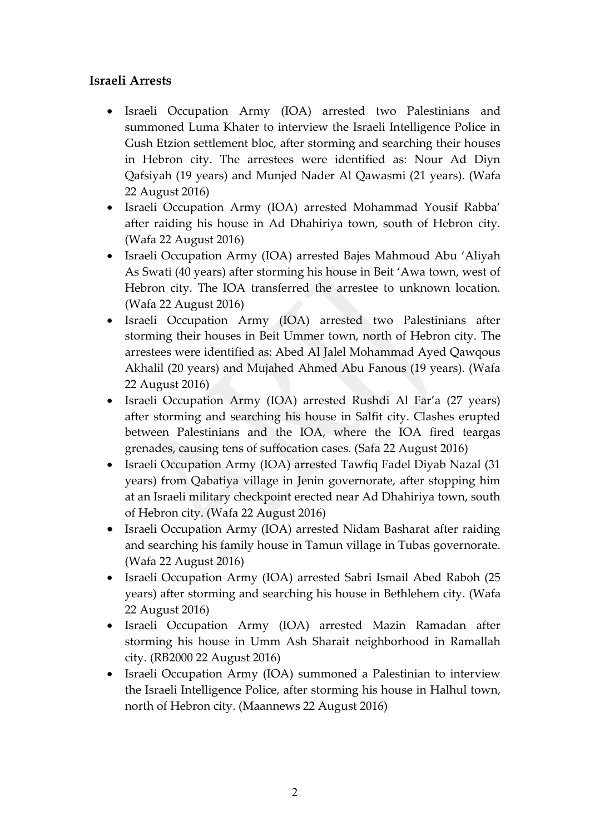### **Israeli Arrests**

- Israeli Occupation Army (IOA) arrested two Palestinians and summoned Luma Khater to interview the Israeli Intelligence Police in Gush Etzion settlement bloc, after storming and searching their houses in Hebron city. The arrestees were identified as: Nour Ad Diyn Qafsiyah (19 years) and Munjed Nader Al Qawasmi (21 years). (Wafa 22 August 2016)
- Israeli Occupation Army (IOA) arrested Mohammad Yousif Rabba' after raiding his house in Ad Dhahiriya town, south of Hebron city. (Wafa 22 August 2016)
- Israeli Occupation Army (IOA) arrested Bajes Mahmoud Abu 'Aliyah As Swati (40 years) after storming his house in Beit 'Awa town, west of Hebron city. The IOA transferred the arrestee to unknown location. (Wafa 22 August 2016)
- Israeli Occupation Army (IOA) arrested two Palestinians after storming their houses in Beit Ummer town, north of Hebron city. The arrestees were identified as: Abed Al Jalel Mohammad Ayed Qawqous Akhalil (20 years) and Mujahed Ahmed Abu Fanous (19 years). (Wafa 22 August 2016)
- Israeli Occupation Army (IOA) arrested Rushdi Al Far'a (27 years) after storming and searching his house in Salfit city. Clashes erupted between Palestinians and the IOA, where the IOA fired teargas grenades, causing tens of suffocation cases. (Safa 22 August 2016)
- Israeli Occupation Army (IOA) arrested Tawfiq Fadel Diyab Nazal (31 years) from Qabatiya village in Jenin governorate, after stopping him at an Israeli military checkpoint erected near Ad Dhahiriya town, south of Hebron city. (Wafa 22 August 2016)
- Israeli Occupation Army (IOA) arrested Nidam Basharat after raiding and searching his family house in Tamun village in Tubas governorate. (Wafa 22 August 2016)
- Israeli Occupation Army (IOA) arrested Sabri Ismail Abed Raboh (25 years) after storming and searching his house in Bethlehem city. (Wafa 22 August 2016)
- Israeli Occupation Army (IOA) arrested Mazin Ramadan after storming his house in Umm Ash Sharait neighborhood in Ramallah city. (RB2000 22 August 2016)
- Israeli Occupation Army (IOA) summoned a Palestinian to interview the Israeli Intelligence Police, after storming his house in Halhul town, north of Hebron city. (Maannews 22 August 2016)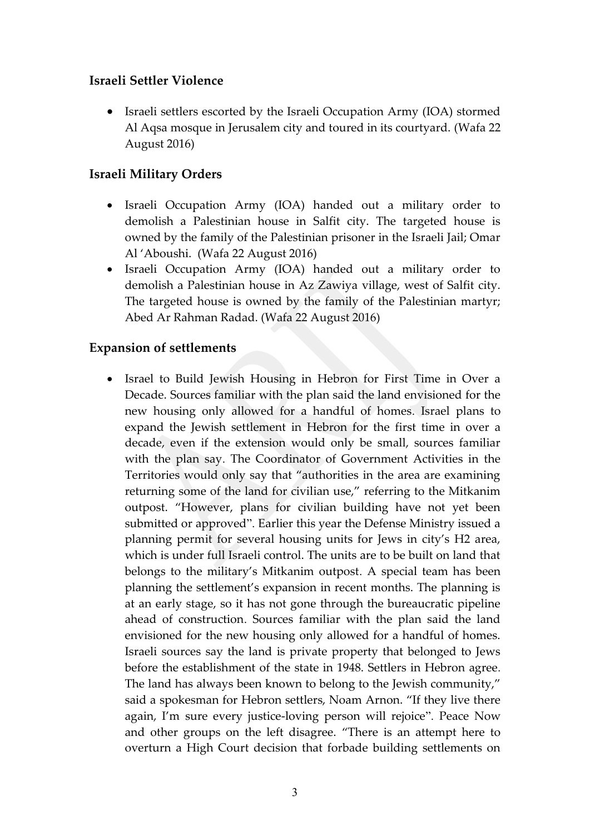#### **Israeli Settler Violence**

• Israeli settlers escorted by the Israeli Occupation Army (IOA) stormed Al Aqsa mosque in Jerusalem city and toured in its courtyard. (Wafa 22 August 2016)

#### **Israeli Military Orders**

- Israeli Occupation Army (IOA) handed out a military order to demolish a Palestinian house in Salfit city. The targeted house is owned by the family of the Palestinian prisoner in the Israeli Jail; Omar Al 'Aboushi. (Wafa 22 August 2016)
- Israeli Occupation Army (IOA) handed out a military order to demolish a Palestinian house in Az Zawiya village, west of Salfit city. The targeted house is owned by the family of the Palestinian martyr; Abed Ar Rahman Radad. (Wafa 22 August 2016)

#### **Expansion of settlements**

• Israel to Build Jewish Housing in Hebron for First Time in Over a Decade. Sources familiar with the plan said the land envisioned for the new housing only allowed for a handful of homes. Israel plans to expand the Jewish settlement in Hebron for the first time in over a decade, even if the extension would only be small, sources familiar with the plan say. The Coordinator of Government Activities in the Territories would only say that "authorities in the area are examining returning some of the land for civilian use," referring to the Mitkanim outpost. "However, plans for civilian building have not yet been submitted or approved". Earlier this year the Defense Ministry issued a planning permit for several housing units for Jews in city's H2 area, which is under full Israeli control. The units are to be built on land that belongs to the military's Mitkanim outpost. A special team has been planning the settlement's expansion in recent months. The planning is at an early stage, so it has not gone through the bureaucratic pipeline ahead of construction. Sources familiar with the plan said the land envisioned for the new housing only allowed for a handful of homes. Israeli sources say the land is private property that belonged to Jews before the establishment of the state in 1948. Settlers in Hebron agree. The land has always been known to belong to the Jewish community," said a spokesman for Hebron settlers, Noam Arnon. "If they live there again, I'm sure every justice-loving person will rejoice". Peace Now and other groups on the left disagree. "There is an attempt here to overturn a High Court decision that forbade building settlements on